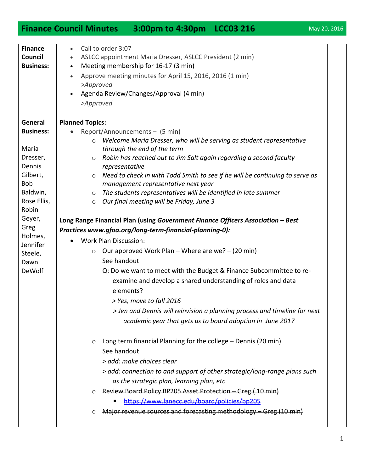## **Finance Council Minutes 3:00pm to 4:30pm LCC03 216** May 20, 2016

| <b>Finance</b>       | Call to order 3:07<br>$\bullet$                                                         |  |  |  |
|----------------------|-----------------------------------------------------------------------------------------|--|--|--|
| Council              | ASLCC appointment Maria Dresser, ASLCC President (2 min)                                |  |  |  |
| <b>Business:</b>     | Meeting membership for 16-17 (3 min)<br>$\bullet$                                       |  |  |  |
|                      | Approve meeting minutes for April 15, 2016, 2016 (1 min)<br>$\bullet$                   |  |  |  |
|                      | >Approved                                                                               |  |  |  |
|                      | Agenda Review/Changes/Approval (4 min)                                                  |  |  |  |
|                      | >Approved                                                                               |  |  |  |
|                      |                                                                                         |  |  |  |
| General              | <b>Planned Topics:</b>                                                                  |  |  |  |
| <b>Business:</b>     | Report/Announcements - (5 min)                                                          |  |  |  |
|                      | Welcome Maria Dresser, who will be serving as student representative                    |  |  |  |
| Maria                | through the end of the term                                                             |  |  |  |
| Dresser,             | Robin has reached out to Jim Salt again regarding a second faculty<br>$\circ$           |  |  |  |
| Dennis               | representative                                                                          |  |  |  |
| Gilbert,             | Need to check in with Todd Smith to see if he will be continuing to serve as<br>$\circ$ |  |  |  |
| Bob                  | management representative next year                                                     |  |  |  |
| Baldwin,             | $\circ$ The students representatives will be identified in late summer                  |  |  |  |
| Rose Ellis,<br>Robin | Our final meeting will be Friday, June 3<br>$\circ$                                     |  |  |  |
| Geyer,               |                                                                                         |  |  |  |
| Greg                 | Long Range Financial Plan (using Government Finance Officers Association - Best         |  |  |  |
| Holmes,              | Practices www.gfoa.org/long-term-financial-planning-0):                                 |  |  |  |
| Jennifer             | <b>Work Plan Discussion:</b>                                                            |  |  |  |
| Steele,              | Our approved Work Plan – Where are we? – (20 min)<br>$\circ$                            |  |  |  |
| Dawn                 | See handout                                                                             |  |  |  |
| <b>DeWolf</b>        | Q: Do we want to meet with the Budget & Finance Subcommittee to re-                     |  |  |  |
|                      | examine and develop a shared understanding of roles and data                            |  |  |  |
|                      | elements?                                                                               |  |  |  |
|                      | > Yes, move to fall 2016                                                                |  |  |  |
|                      | > Jen and Dennis will reinvision a planning process and timeline for next               |  |  |  |
|                      | academic year that gets us to board adoption in June 2017                               |  |  |  |
|                      |                                                                                         |  |  |  |
|                      | Long term financial Planning for the college - Dennis (20 min)<br>$\circ$               |  |  |  |
|                      | See handout                                                                             |  |  |  |
|                      |                                                                                         |  |  |  |
|                      | > add: make choices clear                                                               |  |  |  |
|                      | > add: connection to and support of other strategic/long-range plans such               |  |  |  |
|                      | as the strategic plan, learning plan, etc                                               |  |  |  |
|                      | Review Board Policy BP205 Asset Protection - Greg (10 min)                              |  |  |  |
|                      | https://www.lanecc.edu/board/policies/bp205                                             |  |  |  |
|                      | Major revenue sources and forecasting methodology - Greg (10 min)                       |  |  |  |
|                      |                                                                                         |  |  |  |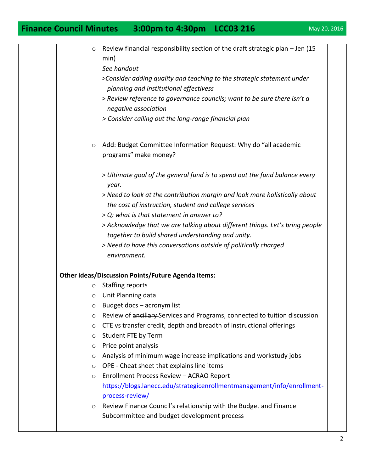## **Finance Council Minutes 3:00pm to 4:30pm LCC03 216** May 20, 2016

| $\circ$ | Review financial responsibility section of the draft strategic plan - Jen (15       |
|---------|-------------------------------------------------------------------------------------|
|         | min)                                                                                |
|         | See handout                                                                         |
|         | >Consider adding quality and teaching to the strategic statement under              |
|         | planning and institutional effectivess                                              |
|         | > Review reference to governance councils; want to be sure there isn't a            |
|         | negative association                                                                |
|         | > Consider calling out the long-range financial plan                                |
| $\circ$ | Add: Budget Committee Information Request: Why do "all academic                     |
|         | programs" make money?                                                               |
|         | > Ultimate goal of the general fund is to spend out the fund balance every<br>year. |
|         | > Need to look at the contribution margin and look more holistically about          |
|         | the cost of instruction, student and college services                               |
|         | > Q: what is that statement in answer to?                                           |
|         | > Acknowledge that we are talking about different things. Let's bring people        |
|         | together to build shared understanding and unity.                                   |
|         | > Need to have this conversations outside of politically charged                    |
|         | environment.                                                                        |
|         | <b>Other ideas/Discussion Points/Future Agenda Items:</b>                           |
| O       | <b>Staffing reports</b>                                                             |
| $\circ$ | Unit Planning data                                                                  |
| $\circ$ | Budget docs - acronym list                                                          |
| O       | Review of ancillary-Services and Programs, connected to tuition discussion          |
| O       | CTE vs transfer credit, depth and breadth of instructional offerings                |
| O       | Student FTE by Term                                                                 |
| O       | Price point analysis                                                                |
| O       | Analysis of minimum wage increase implications and workstudy jobs                   |
| $\circ$ | OPE - Cheat sheet that explains line items                                          |
| $\circ$ | Enrollment Process Review - ACRAO Report                                            |
|         | https://blogs.lanecc.edu/strategicenrollmentmanagement/info/enrollment-             |
|         | process-review/                                                                     |
| $\circ$ | Review Finance Council's relationship with the Budget and Finance                   |
|         | Subcommittee and budget development process                                         |
|         |                                                                                     |